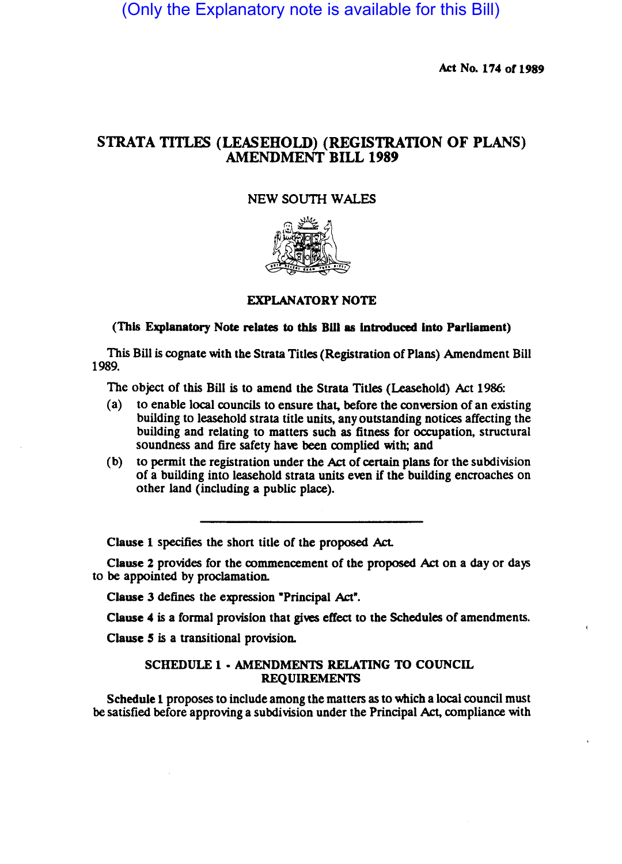(Only the Explanatory note is available for this Bill)

Act No. 174 of 1989

# STRATA TITLES (LEASEHOLD) (REGISTRATION OF PLANS) AMENDMENT BILL 1989

## NEW SOUTH WALES



## EXPLANATORY NOTE

### (This Explanatory Note relates to this BUI as Introduced into Parliament)

This Bill is cognate with the Strata Titles (Registration of Plans) Amendment Bill 1989.

The object of this Bill is to amend the Strata Titles (Leasehold) Act 1986:

- (a) to enable local councils to ensure that, before the conversion of an existing building to leasehold strata title units, any outstanding notices affecting the building and relating to matters such as fitness for occupation, structural soundness and fire safety have been complied with; and
- (b) to permit the registration under the Act of certain plans for the subdivision of a building into leasehold strata units even if the building encroaches on other land (including a public place).

Clause 1 specifies the short title of the proposed Act.

Clause 2 provides for the commencement of the proposed Act on a day or days to be appointed by proclamation.

Clause 3 defines the expression "Principal Act".

Clause 4 is a formal provision that gives effect to the Schedules of amendments.

Clause 5 is a transitional provision.

## SCHEDULE 1 • AMENDMENTS RELATING TO COUNCIL REQUIREMENTS

Schedule 1 proposes to include among the matters as to which a local council must be satisfied before approving a subdivision under the Principal Act, compliance with